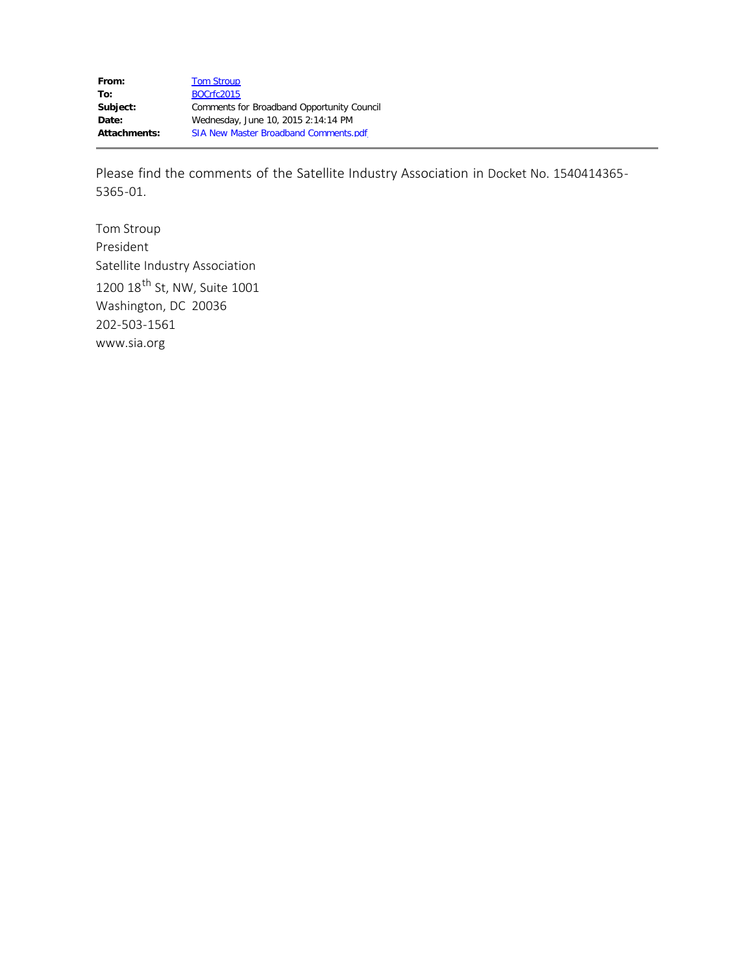Please find the comments of the Satellite Industry Association in Docket No. 1540414365- 5365-01.

Tom Stroup President Satellite Industry Association 1200 18<sup>th</sup> St, NW, Suite 1001 Washington, DC 20036 202-503-1561 www.sia.org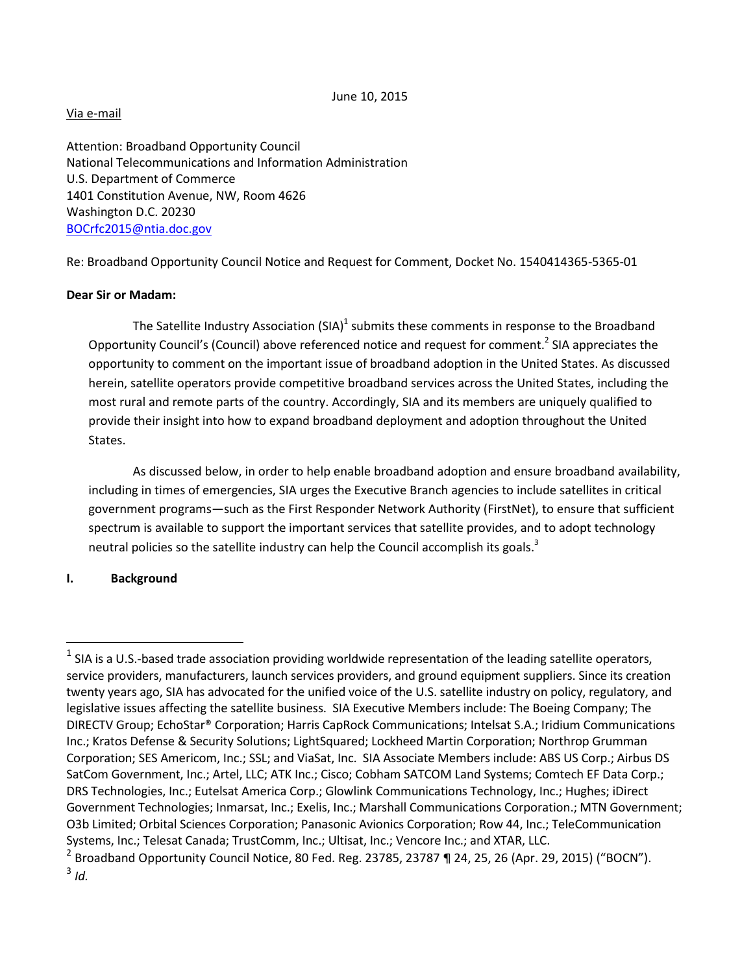June 10, 2015

### Via e-mail

Attention: Broadband Opportunity Council National Telecommunications and Information Administration U.S. Department of Commerce 1401 Constitution Avenue, NW, Room 4626 Washington D.C. 20230 [BOCrfc2015@ntia.doc.gov](mailto:BOCrfc2015@ntia.doc.gov)

Re: Broadband Opportunity Council Notice and Request for Comment, Docket No. 1540414365-5365-01

### **Dear Sir or Madam:**

The Satellite Industry Association (SIA)<sup>1</sup> submits these comments in response to the Broadband Opportunity Council's (Council) above referenced notice and request for comment.<sup>2</sup> SIA appreciates the opportunity to comment on the important issue of broadband adoption in the United States. As discussed herein, satellite operators provide competitive broadband services across the United States, including the most rural and remote parts of the country. Accordingly, SIA and its members are uniquely qualified to provide their insight into how to expand broadband deployment and adoption throughout the United States.

As discussed below, in order to help enable broadband adoption and ensure broadband availability, including in times of emergencies, SIA urges the Executive Branch agencies to include satellites in critical government programs—such as the First Responder Network Authority (FirstNet), to ensure that sufficient spectrum is available to support the important services that satellite provides, and to adopt technology neutral policies so the satellite industry can help the Council accomplish its goals. $3$ 

## **I. Background**

 $\overline{a}$ 

 $^1$  SIA is a U.S.-based trade association providing worldwide representation of the leading satellite operators, service providers, manufacturers, launch services providers, and ground equipment suppliers. Since its creation twenty years ago, SIA has advocated for the unified voice of the U.S. satellite industry on policy, regulatory, and legislative issues affecting the satellite business. SIA Executive Members include: The Boeing Company; The DIRECTV Group; EchoStar® Corporation; Harris CapRock Communications; Intelsat S.A.; Iridium Communications Inc.; Kratos Defense & Security Solutions; LightSquared; Lockheed Martin Corporation; Northrop Grumman Corporation; SES Americom, Inc.; SSL; and ViaSat, Inc. SIA Associate Members include: ABS US Corp.; Airbus DS SatCom Government, Inc.; Artel, LLC; ATK Inc.; Cisco; Cobham SATCOM Land Systems; Comtech EF Data Corp.; DRS Technologies, Inc.; Eutelsat America Corp.; Glowlink Communications Technology, Inc.; Hughes; iDirect Government Technologies; Inmarsat, Inc.; Exelis, Inc.; Marshall Communications Corporation.; MTN Government; O3b Limited; Orbital Sciences Corporation; Panasonic Avionics Corporation; Row 44, Inc.; TeleCommunication Systems, Inc.; Telesat Canada; TrustComm, Inc.; Ultisat, Inc.; Vencore Inc.; and XTAR, LLC.

 $^2$  Broadband Opportunity Council Notice, 80 Fed. Reg. 23785, 23787 ¶ 24, 25, 26 (Apr. 29, 2015) ("BOCN"). 3 *Id.*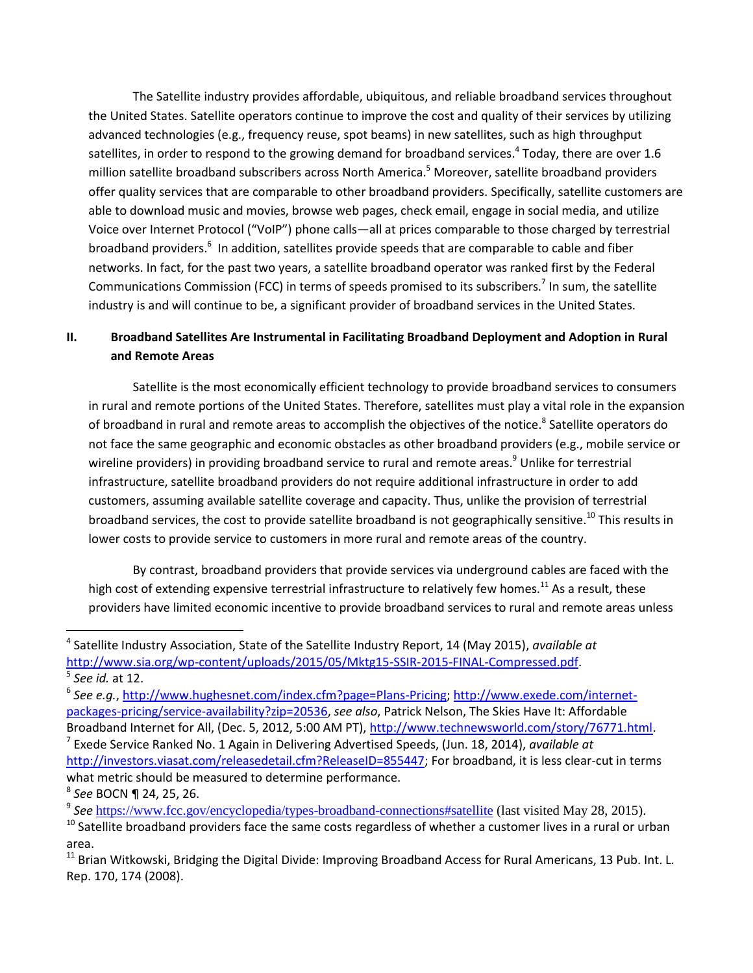The Satellite industry provides affordable, ubiquitous, and reliable broadband services throughout the United States. Satellite operators continue to improve the cost and quality of their services by utilizing advanced technologies (e.g., frequency reuse, spot beams) in new satellites, such as high throughput satellites, in order to respond to the growing demand for broadband services.<sup>4</sup> Today, there are over 1.6 million satellite broadband subscribers across North America. <sup>5</sup> Moreover, satellite broadband providers offer quality services that are comparable to other broadband providers. Specifically, satellite customers are able to download music and movies, browse web pages, check email, engage in social media, and utilize Voice over Internet Protocol ("VoIP") phone calls—all at prices comparable to those charged by terrestrial broadband providers.<sup>6</sup> In addition, satellites provide speeds that are comparable to cable and fiber networks. In fact, for the past two years, a satellite broadband operator was ranked first by the Federal Communications Commission (FCC) in terms of speeds promised to its subscribers.<sup>7</sup> In sum, the satellite industry is and will continue to be, a significant provider of broadband services in the United States.

# **II. Broadband Satellites Are Instrumental in Facilitating Broadband Deployment and Adoption in Rural and Remote Areas**

Satellite is the most economically efficient technology to provide broadband services to consumers in rural and remote portions of the United States. Therefore, satellites must play a vital role in the expansion of broadband in rural and remote areas to accomplish the objectives of the notice.<sup>8</sup> Satellite operators do not face the same geographic and economic obstacles as other broadband providers (e.g., mobile service or wireline providers) in providing broadband service to rural and remote areas.<sup>9</sup> Unlike for terrestrial infrastructure, satellite broadband providers do not require additional infrastructure in order to add customers, assuming available satellite coverage and capacity. Thus, unlike the provision of terrestrial broadband services, the cost to provide satellite broadband is not geographically sensitive.<sup>10</sup> This results in lower costs to provide service to customers in more rural and remote areas of the country.

By contrast, broadband providers that provide services via underground cables are faced with the high cost of extending expensive terrestrial infrastructure to relatively few homes.<sup>11</sup> As a result, these providers have limited economic incentive to provide broadband services to rural and remote areas unless

l

8 *See* BOCN ¶ 24, 25, 26.

<sup>4</sup> Satellite Industry Association, State of the Satellite Industry Report, 14 (May 2015), *available at* [http://www.sia.org/wp-content/uploads/2015/05/Mktg15-SSIR-2015-FINAL-Compressed.pdf.](http://www.sia.org/wp-content/uploads/2015/05/Mktg15-SSIR-2015-FINAL-Compressed.pdf)

<sup>5</sup> *See id.* at 12.

<sup>6</sup> *See e.g.*, [http://www.hughesnet.com/index.cfm?page=Plans-Pricing;](http://www.hughesnet.com/index.cfm?page=Plans-Pricing) [http://www.exede.com/internet](http://www.exede.com/internet-packages-pricing/service-availability?zip=20536)[packages-pricing/service-availability?zip=20536,](http://www.exede.com/internet-packages-pricing/service-availability?zip=20536) *see also*, Patrick Nelson, The Skies Have It: Affordable

Broadband Internet for All, (Dec. 5, 2012, 5:00 AM PT)[, http://www.technewsworld.com/story/76771.html.](http://www.technewsworld.com/story/76771.html) 7 Exede Service Ranked No. 1 Again in Delivering Advertised Speeds, (Jun. 18, 2014), *available at* [http://investors.viasat.com/releasedetail.cfm?ReleaseID=855447;](http://investors.viasat.com/releasedetail.cfm?ReleaseID=855447) For broadband, it is less clear-cut in terms what metric should be measured to determine performance.

<sup>&</sup>lt;sup>9</sup> See <https://www.fcc.gov/encyclopedia/types-broadband-connections#satellite> (last visited May 28, 2015).

 $10$  Satellite broadband providers face the same costs regardless of whether a customer lives in a rural or urban area.

<sup>&</sup>lt;sup>11</sup> Brian Witkowski, Bridging the Digital Divide: Improving Broadband Access for Rural Americans, 13 Pub. Int. L. Rep. 170, 174 (2008).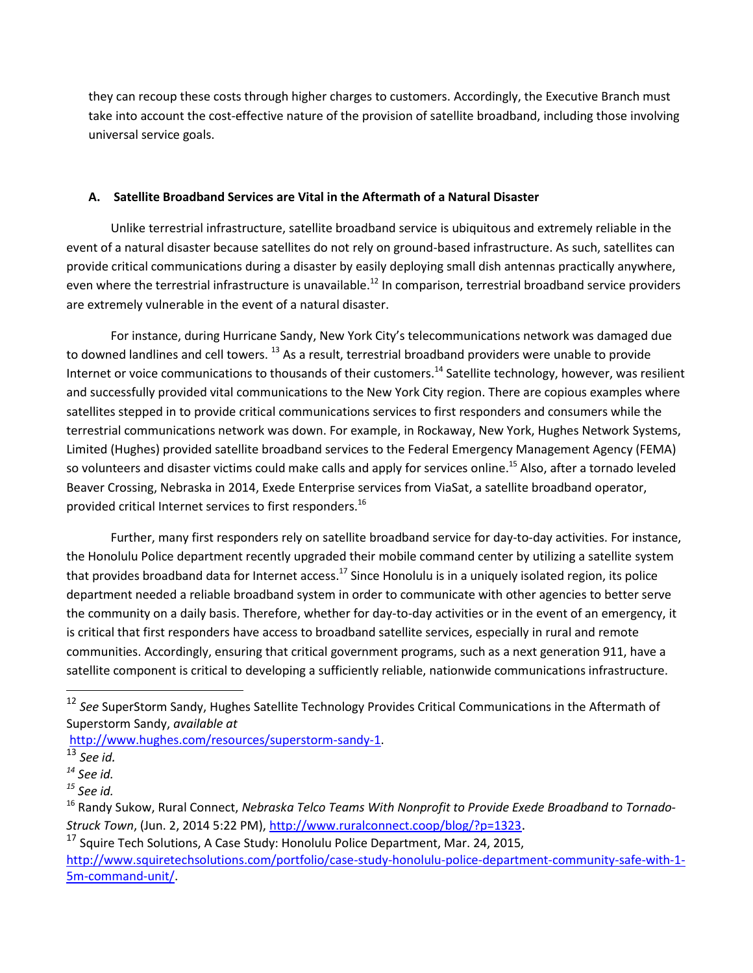they can recoup these costs through higher charges to customers. Accordingly, the Executive Branch must take into account the cost-effective nature of the provision of satellite broadband, including those involving universal service goals.

## **A. Satellite Broadband Services are Vital in the Aftermath of a Natural Disaster**

Unlike terrestrial infrastructure, satellite broadband service is ubiquitous and extremely reliable in the event of a natural disaster because satellites do not rely on ground-based infrastructure. As such, satellites can provide critical communications during a disaster by easily deploying small dish antennas practically anywhere, even where the terrestrial infrastructure is unavailable.<sup>12</sup> In comparison, terrestrial broadband service providers are extremely vulnerable in the event of a natural disaster.

For instance, during Hurricane Sandy, New York City's telecommunications network was damaged due to downed landlines and cell towers. <sup>13</sup> As a result, terrestrial broadband providers were unable to provide Internet or voice communications to thousands of their customers.<sup>14</sup> Satellite technology, however, was resilient and successfully provided vital communications to the New York City region. There are copious examples where satellites stepped in to provide critical communications services to first responders and consumers while the terrestrial communications network was down. For example, in Rockaway, New York, Hughes Network Systems, Limited (Hughes) provided satellite broadband services to the Federal Emergency Management Agency (FEMA) so volunteers and disaster victims could make calls and apply for services online.<sup>15</sup> Also, after a tornado leveled Beaver Crossing, Nebraska in 2014, Exede Enterprise services from ViaSat, a satellite broadband operator, provided critical Internet services to first responders.<sup>16</sup>

Further, many first responders rely on satellite broadband service for day-to-day activities. For instance, the Honolulu Police department recently upgraded their mobile command center by utilizing a satellite system that provides broadband data for Internet access.<sup>17</sup> Since Honolulu is in a uniquely isolated region, its police department needed a reliable broadband system in order to communicate with other agencies to better serve the community on a daily basis. Therefore, whether for day-to-day activities or in the event of an emergency, it is critical that first responders have access to broadband satellite services, especially in rural and remote communities. Accordingly, ensuring that critical government programs, such as a next generation 911, have a satellite component is critical to developing a sufficiently reliable, nationwide communications infrastructure.

 $\overline{\phantom{a}}$ 

<sup>12</sup> *See* SuperStorm Sandy, Hughes Satellite Technology Provides Critical Communications in the Aftermath of Superstorm Sandy, *available at*

[http://www.hughes.com/resources/superstorm-sandy-1.](http://www.hughes.com/resources/superstorm-sandy-1)

<sup>13</sup> *See id.*

*<sup>14</sup> See id.* 

*<sup>15</sup> See id.*

<sup>16</sup> Randy Sukow, Rural Connect, *Nebraska Telco Teams With Nonprofit to Provide Exede Broadband to Tornado-Struck Town*, (Jun. 2, 2014 5:22 PM),<http://www.ruralconnect.coop/blog/?p=1323>.

 $17$  Squire Tech Solutions, A Case Study: Honolulu Police Department, Mar. 24, 2015,

[http://www.squiretechsolutions.com/portfolio/case-study-honolulu-police-department-community-safe-with-1-](http://www.squiretechsolutions.com/portfolio/case-study-honolulu-police-department-community-safe-with-1-5m-command-unit/) [5m-command-unit/.](http://www.squiretechsolutions.com/portfolio/case-study-honolulu-police-department-community-safe-with-1-5m-command-unit/)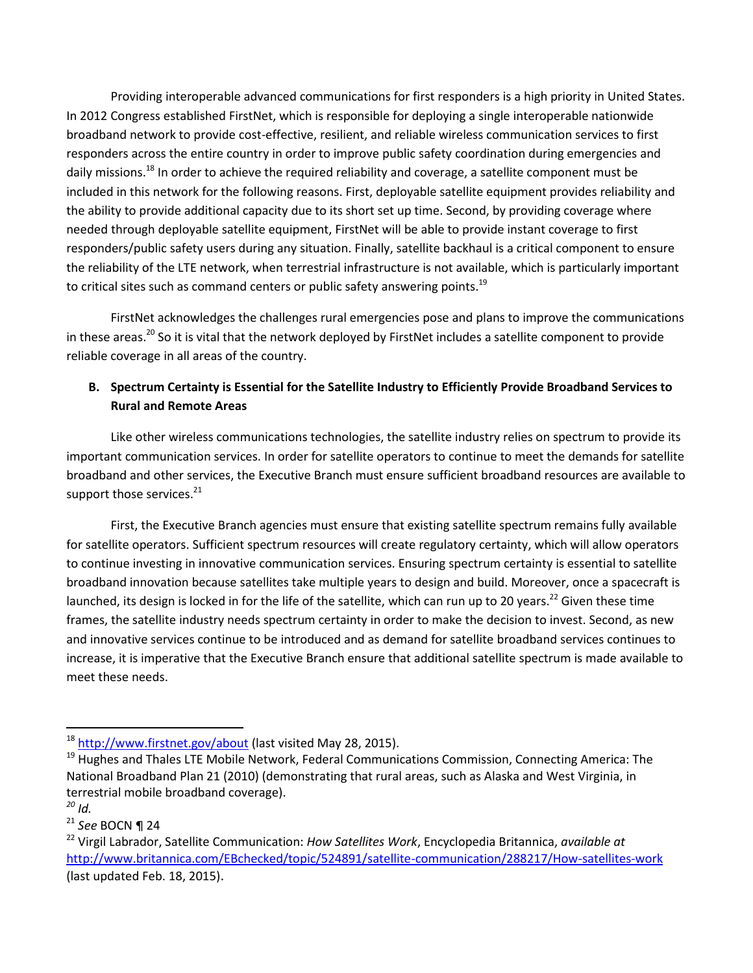Providing interoperable advanced communications for first responders is a high priority in United States. In 2012 Congress established FirstNet, which is responsible for deploying a single interoperable nationwide broadband network to provide cost-effective, resilient, and reliable wireless communication services to first responders across the entire country in order to improve public safety coordination during emergencies and daily missions.<sup>18</sup> In order to achieve the required reliability and coverage, a satellite component must be included in this network for the following reasons. First, deployable satellite equipment provides reliability and the ability to provide additional capacity due to its short set up time. Second, by providing coverage where needed through deployable satellite equipment, FirstNet will be able to provide instant coverage to first responders/public safety users during any situation. Finally, satellite backhaul is a critical component to ensure the reliability of the LTE network, when terrestrial infrastructure is not available, which is particularly important to critical sites such as command centers or public safety answering points.<sup>19</sup>

FirstNet acknowledges the challenges rural emergencies pose and plans to improve the communications in these areas.<sup>20</sup> So it is vital that the network deployed by FirstNet includes a satellite component to provide reliable coverage in all areas of the country.

# **B. Spectrum Certainty is Essential for the Satellite Industry to Efficiently Provide Broadband Services to Rural and Remote Areas**

Like other wireless communications technologies, the satellite industry relies on spectrum to provide its important communication services. In order for satellite operators to continue to meet the demands for satellite broadband and other services, the Executive Branch must ensure sufficient broadband resources are available to support those services. $21$ 

First, the Executive Branch agencies must ensure that existing satellite spectrum remains fully available for satellite operators. Sufficient spectrum resources will create regulatory certainty, which will allow operators to continue investing in innovative communication services. Ensuring spectrum certainty is essential to satellite broadband innovation because satellites take multiple years to design and build. Moreover, once a spacecraft is launched, its design is locked in for the life of the satellite, which can run up to 20 years.<sup>22</sup> Given these time frames, the satellite industry needs spectrum certainty in order to make the decision to invest. Second, as new and innovative services continue to be introduced and as demand for satellite broadband services continues to increase, it is imperative that the Executive Branch ensure that additional satellite spectrum is made available to meet these needs.

 $\overline{\phantom{a}}$ 

<sup>&</sup>lt;sup>18</sup> <http://www.firstnet.gov/about> (last visited May 28, 2015).

 $19$  [Hughes and Thales LTE Mobile Network,](http://www.hughes.com/company/news/hughes-and-thales-complete-successful-test-of-rapidly-deployable-lte-mobile-network-via-satellite) Federal Communications Commission, Connecting America: The National Broadband Plan 21 (2010) (demonstrating that rural areas, such as Alaska and West Virginia, in terrestrial mobile broadband coverage).

*<sup>20</sup> Id.* 

<sup>21</sup> *See* BOCN ¶ 24

<sup>22</sup> Virgil Labrador, Satellite Communication: *How Satellites Work*, Encyclopedia Britannica, *available at* <http://www.britannica.com/EBchecked/topic/524891/satellite-communication/288217/How-satellites-work> (last updated Feb. 18, 2015).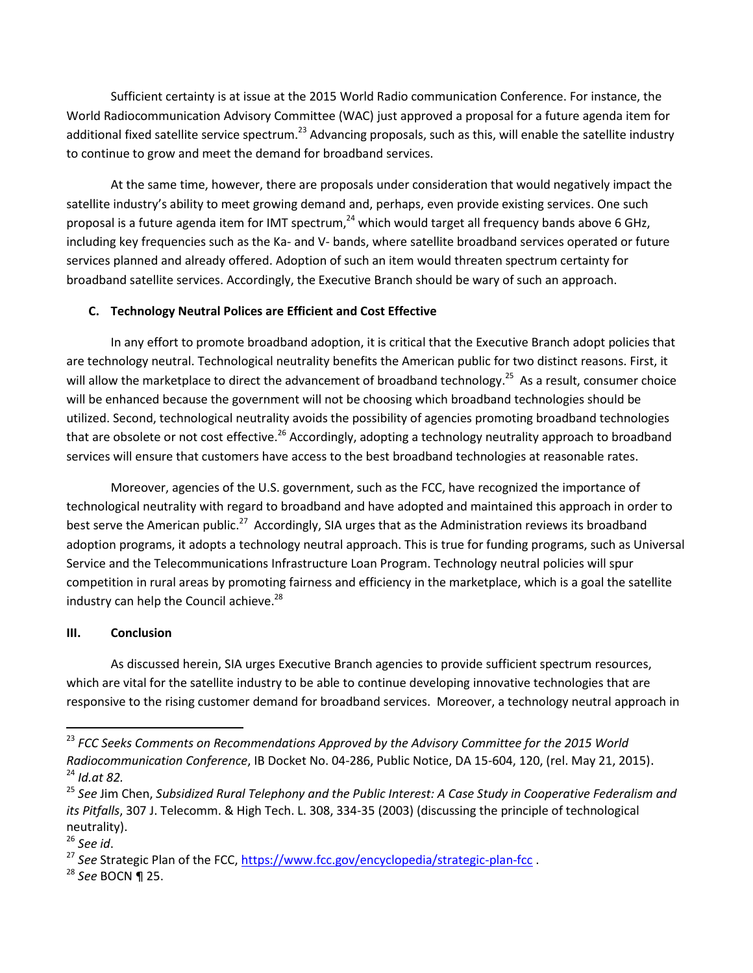Sufficient certainty is at issue at the 2015 World Radio communication Conference. For instance, the World Radiocommunication Advisory Committee (WAC) just approved a proposal for a future agenda item for additional fixed satellite service spectrum.<sup>23</sup> Advancing proposals, such as this, will enable the satellite industry to continue to grow and meet the demand for broadband services.

At the same time, however, there are proposals under consideration that would negatively impact the satellite industry's ability to meet growing demand and, perhaps, even provide existing services. One such proposal is a future agenda item for IMT spectrum,<sup>24</sup> which would target all frequency bands above 6 GHz, including key frequencies such as the Ka- and V- bands, where satellite broadband services operated or future services planned and already offered. Adoption of such an item would threaten spectrum certainty for broadband satellite services. Accordingly, the Executive Branch should be wary of such an approach.

## **C. Technology Neutral Polices are Efficient and Cost Effective**

In any effort to promote broadband adoption, it is critical that the Executive Branch adopt policies that are technology neutral. Technological neutrality benefits the American public for two distinct reasons. First, it will allow the marketplace to direct the advancement of broadband technology.<sup>25</sup> As a result, consumer choice will be enhanced because the government will not be choosing which broadband technologies should be utilized. Second, technological neutrality avoids the possibility of agencies promoting broadband technologies that are obsolete or not cost effective.<sup>26</sup> Accordingly, adopting a technology neutrality approach to broadband services will ensure that customers have access to the best broadband technologies at reasonable rates.

Moreover, agencies of the U.S. government, such as the FCC, have recognized the importance of technological neutrality with regard to broadband and have adopted and maintained this approach in order to best serve the American public.<sup>27</sup> Accordingly, SIA urges that as the Administration reviews its broadband adoption programs, it adopts a technology neutral approach. This is true for funding programs, such as Universal Service and the Telecommunications Infrastructure Loan Program. Technology neutral policies will spur competition in rural areas by promoting fairness and efficiency in the marketplace, which is a goal the satellite industry can help the Council achieve.<sup>28</sup>

#### **III. Conclusion**

As discussed herein, SIA urges Executive Branch agencies to provide sufficient spectrum resources, which are vital for the satellite industry to be able to continue developing innovative technologies that are responsive to the rising customer demand for broadband services. Moreover, a technology neutral approach in

 $\overline{\phantom{a}}$ 

<sup>&</sup>lt;sup>23</sup> FCC Seeks Comments on Recommendations Approved by the Advisory Committee for the 2015 World *Radiocommunication Conference*, IB Docket No. 04-286, Public Notice, DA 15-604, 120, (rel. May 21, 2015). <sup>24</sup> *Id.at 82.* 

<sup>25</sup> *See* Jim Chen, *Subsidized Rural Telephony and the Public Interest: A Case Study in Cooperative Federalism and its Pitfalls*, 307 J. Telecomm. & High Tech. L. 308, 334-35 (2003) (discussing the principle of technological neutrality).

<sup>26</sup> *See id*.

<sup>&</sup>lt;sup>27</sup> See Strategic Plan of the FCC,<https://www.fcc.gov/encyclopedia/strategic-plan-fcc>.

<sup>28</sup> *See* BOCN ¶ 25.